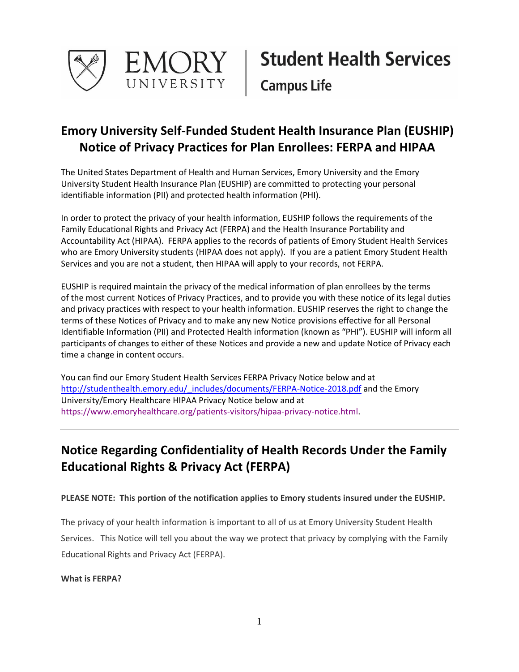

# **Emory University Self-Funded Student Health Insurance Plan (EUSHIP) Notice of Privacy Practices for Plan Enrollees: FERPA and HIPAA**

The United States Department of Health and Human Services, Emory University and the Emory University Student Health Insurance Plan (EUSHIP) are committed to protecting your personal identifiable information (PII) and protected health information (PHI).

In order to protect the privacy of your health information, EUSHIP follows the requirements of the Family Educational Rights and Privacy Act (FERPA) and the Health Insurance Portability and Accountability Act (HIPAA). FERPA applies to the records of patients of Emory Student Health Services who are Emory University students (HIPAA does not apply). If you are a patient Emory Student Health Services and you are not a student, then HIPAA will apply to your records, not FERPA.

EUSHIP is required maintain the privacy of the medical information of plan enrollees by the terms of the most current Notices of Privacy Practices, and to provide you with these notice of its legal duties and privacy practices with respect to your health information. EUSHIP reserves the right to change the terms of these Notices of Privacy and to make any new Notice provisions effective for all Personal Identifiable Information (PII) and Protected Health information (known as "PHI"). EUSHIP will inform all participants of changes to either of these Notices and provide a new and update Notice of Privacy each time a change in content occurs.

You can find our Emory Student Health Services FERPA Privacy Notice below and at [http://studenthealth.emory.edu/\\_includes/documents/FERPA-Notice-2018.pdf](http://studenthealth.emory.edu/_includes/documents/FERPA-Notice-2018.pdf) and the Emory University/Emory Healthcare HIPAA Privacy Notice below and at [https://www.emoryhealthcare.org/patients-visitors/hipaa-privacy-notice.html.](https://www.emoryhealthcare.org/patients-visitors/hipaa-privacy-notice.html)

# **Notice Regarding Confidentiality of Health Records Under the Family Educational Rights & Privacy Act (FERPA)**

### **PLEASE NOTE: This portion of the notification applies to Emory students insured under the EUSHIP.**

The privacy of your health information is important to all of us at Emory University Student Health Services. This Notice will tell you about the way we protect that privacy by complying with the Family Educational Rights and Privacy Act (FERPA).

### **What is FERPA?**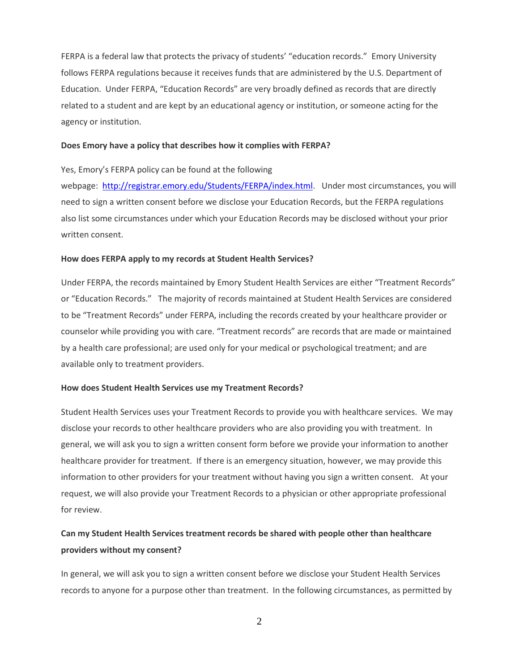FERPA is a federal law that protects the privacy of students' "education records." Emory University follows FERPA regulations because it receives funds that are administered by the U.S. Department of Education. Under FERPA, "Education Records" are very broadly defined as records that are directly related to a student and are kept by an educational agency or institution, or someone acting for the agency or institution.

#### **Does Emory have a policy that describes how it complies with FERPA?**

#### Yes, Emory's FERPA policy can be found at the following

webpage: [http://registrar.emory.edu/Students/FERPA/index.html.](http://registrar.emory.edu/Students/FERPA/index.html) Under most circumstances, you will need to sign a written consent before we disclose your Education Records, but the FERPA regulations also list some circumstances under which your Education Records may be disclosed without your prior written consent.

#### **How does FERPA apply to my records at Student Health Services?**

Under FERPA, the records maintained by Emory Student Health Services are either "Treatment Records" or "Education Records." The majority of records maintained at Student Health Services are considered to be "Treatment Records" under FERPA, including the records created by your healthcare provider or counselor while providing you with care. "Treatment records" are records that are made or maintained by a health care professional; are used only for your medical or psychological treatment; and are available only to treatment providers.

#### **How does Student Health Services use my Treatment Records?**

Student Health Services uses your Treatment Records to provide you with healthcare services. We may disclose your records to other healthcare providers who are also providing you with treatment. In general, we will ask you to sign a written consent form before we provide your information to another healthcare provider for treatment. If there is an emergency situation, however, we may provide this information to other providers for your treatment without having you sign a written consent. At your request, we will also provide your Treatment Records to a physician or other appropriate professional for review.

## **Can my Student Health Services treatment records be shared with people other than healthcare providers without my consent?**

In general, we will ask you to sign a written consent before we disclose your Student Health Services records to anyone for a purpose other than treatment. In the following circumstances, as permitted by

2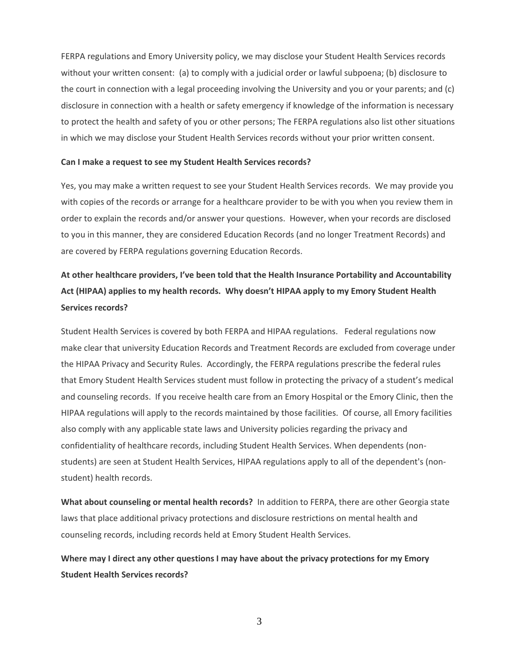FERPA regulations and Emory University policy, we may disclose your Student Health Services records without your written consent: (a) to comply with a judicial order or lawful subpoena; (b) disclosure to the court in connection with a legal proceeding involving the University and you or your parents; and (c) disclosure in connection with a health or safety emergency if knowledge of the information is necessary to protect the health and safety of you or other persons; The FERPA regulations also list other situations in which we may disclose your Student Health Services records without your prior written consent.

#### **Can I make a request to see my Student Health Services records?**

Yes, you may make a written request to see your Student Health Services records. We may provide you with copies of the records or arrange for a healthcare provider to be with you when you review them in order to explain the records and/or answer your questions. However, when your records are disclosed to you in this manner, they are considered Education Records (and no longer Treatment Records) and are covered by FERPA regulations governing Education Records.

# **At other healthcare providers, I've been told that the Health Insurance Portability and Accountability Act (HIPAA) applies to my health records. Why doesn't HIPAA apply to my Emory Student Health Services records?**

Student Health Services is covered by both FERPA and HIPAA regulations. Federal regulations now make clear that university Education Records and Treatment Records are excluded from coverage under the HIPAA Privacy and Security Rules. Accordingly, the FERPA regulations prescribe the federal rules that Emory Student Health Services student must follow in protecting the privacy of a student's medical and counseling records. If you receive health care from an Emory Hospital or the Emory Clinic, then the HIPAA regulations will apply to the records maintained by those facilities. Of course, all Emory facilities also comply with any applicable state laws and University policies regarding the privacy and confidentiality of healthcare records, including Student Health Services. When dependents (nonstudents) are seen at Student Health Services, HIPAA regulations apply to all of the dependent's (nonstudent) health records.

**What about counseling or mental health records?** In addition to FERPA, there are other Georgia state laws that place additional privacy protections and disclosure restrictions on mental health and counseling records, including records held at Emory Student Health Services.

**Where may I direct any other questions I may have about the privacy protections for my Emory Student Health Services records?**

3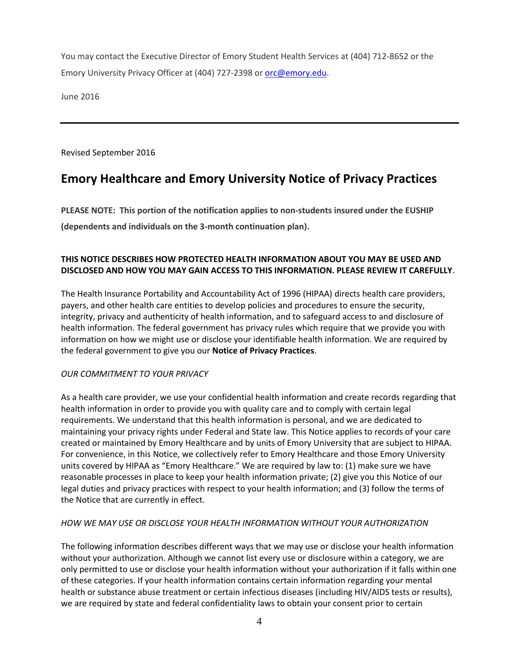You may contact the Executive Director of Emory Student Health Services at (404) 712-8652 or the Emory University Privacy Officer at (404) 727-2398 o[r orc@emory.edu.](mailto:orc@emory.edu)

June 2016

Revised September 2016

# **Emory Healthcare and Emory University Notice of Privacy Practices**

**PLEASE NOTE: This portion of the notification applies to non-students insured under the EUSHIP (dependents and individuals on the 3-month continuation plan).**

### **THIS NOTICE DESCRIBES HOW PROTECTED HEALTH INFORMATION ABOUT YOU MAY BE USED AND DISCLOSED AND HOW YOU MAY GAIN ACCESS TO THIS INFORMATION. PLEASE REVIEW IT CAREFULLY**.

The Health Insurance Portability and Accountability Act of 1996 (HIPAA) directs health care providers, payers, and other health care entities to develop policies and procedures to ensure the security, integrity, privacy and authenticity of health information, and to safeguard access to and disclosure of health information. The federal government has privacy rules which require that we provide you with information on how we might use or disclose your identifiable health information. We are required by the federal government to give you our **Notice of Privacy Practices**.

### *OUR COMMITMENT TO YOUR PRIVACY*

As a health care provider, we use your confidential health information and create records regarding that health information in order to provide you with quality care and to comply with certain legal requirements. We understand that this health information is personal, and we are dedicated to maintaining your privacy rights under Federal and State law. This Notice applies to records of your care created or maintained by Emory Healthcare and by units of Emory University that are subject to HIPAA. For convenience, in this Notice, we collectively refer to Emory Healthcare and those Emory University units covered by HIPAA as "Emory Healthcare." We are required by law to: (1) make sure we have reasonable processes in place to keep your health information private; (2) give you this Notice of our legal duties and privacy practices with respect to your health information; and (3) follow the terms of the Notice that are currently in effect.

### *HOW WE MAY USE OR DISCLOSE YOUR HEALTH INFORMATION WITHOUT YOUR AUTHORIZATION*

The following information describes different ways that we may use or disclose your health information without your authorization. Although we cannot list every use or disclosure within a category, we are only permitted to use or disclose your health information without your authorization if it falls within one of these categories. If your health information contains certain information regarding your mental health or substance abuse treatment or certain infectious diseases (including HIV/AIDS tests or results), we are required by state and federal confidentiality laws to obtain your consent prior to certain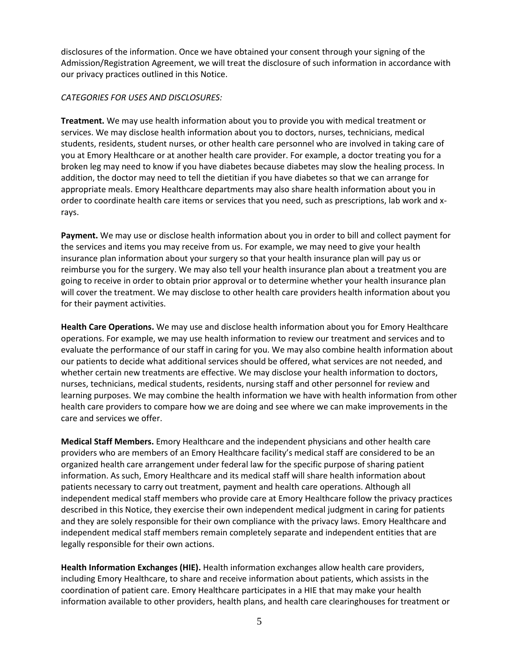disclosures of the information. Once we have obtained your consent through your signing of the Admission/Registration Agreement, we will treat the disclosure of such information in accordance with our privacy practices outlined in this Notice.

#### *CATEGORIES FOR USES AND DISCLOSURES:*

**Treatment.** We may use health information about you to provide you with medical treatment or services. We may disclose health information about you to doctors, nurses, technicians, medical students, residents, student nurses, or other health care personnel who are involved in taking care of you at Emory Healthcare or at another health care provider. For example, a doctor treating you for a broken leg may need to know if you have diabetes because diabetes may slow the healing process. In addition, the doctor may need to tell the dietitian if you have diabetes so that we can arrange for appropriate meals. Emory Healthcare departments may also share health information about you in order to coordinate health care items or services that you need, such as prescriptions, lab work and xrays.

**Payment.** We may use or disclose health information about you in order to bill and collect payment for the services and items you may receive from us. For example, we may need to give your health insurance plan information about your surgery so that your health insurance plan will pay us or reimburse you for the surgery. We may also tell your health insurance plan about a treatment you are going to receive in order to obtain prior approval or to determine whether your health insurance plan will cover the treatment. We may disclose to other health care providers health information about you for their payment activities.

**Health Care Operations.** We may use and disclose health information about you for Emory Healthcare operations. For example, we may use health information to review our treatment and services and to evaluate the performance of our staff in caring for you. We may also combine health information about our patients to decide what additional services should be offered, what services are not needed, and whether certain new treatments are effective. We may disclose your health information to doctors, nurses, technicians, medical students, residents, nursing staff and other personnel for review and learning purposes. We may combine the health information we have with health information from other health care providers to compare how we are doing and see where we can make improvements in the care and services we offer.

**Medical Staff Members.** Emory Healthcare and the independent physicians and other health care providers who are members of an Emory Healthcare facility's medical staff are considered to be an organized health care arrangement under federal law for the specific purpose of sharing patient information. As such, Emory Healthcare and its medical staff will share health information about patients necessary to carry out treatment, payment and health care operations. Although all independent medical staff members who provide care at Emory Healthcare follow the privacy practices described in this Notice, they exercise their own independent medical judgment in caring for patients and they are solely responsible for their own compliance with the privacy laws. Emory Healthcare and independent medical staff members remain completely separate and independent entities that are legally responsible for their own actions.

**Health Information Exchanges (HIE).** Health information exchanges allow health care providers, including Emory Healthcare, to share and receive information about patients, which assists in the coordination of patient care. Emory Healthcare participates in a HIE that may make your health information available to other providers, health plans, and health care clearinghouses for treatment or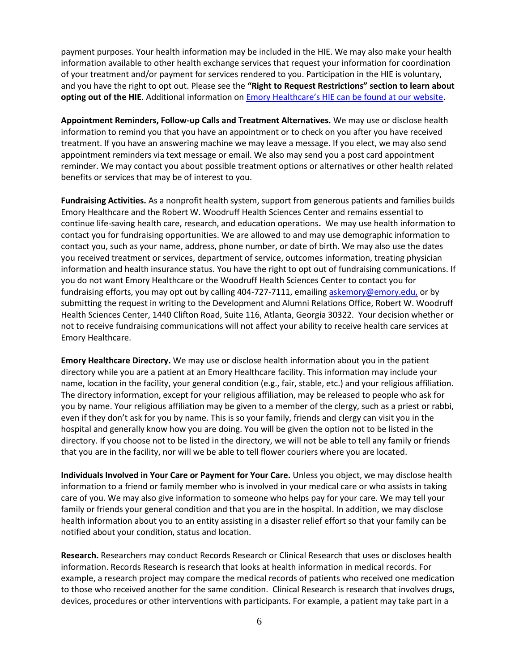payment purposes. Your health information may be included in the HIE. We may also make your health information available to other health exchange services that request your information for coordination of your treatment and/or payment for services rendered to you. Participation in the HIE is voluntary, and you have the right to opt out. Please see the **"Right to Request Restrictions" section to learn about**  opting out of the HIE. Additional information on **[Emory Healthcare's HIE can be found at our website](https://www.emoryhealthcare.org/patients-visitors/emory-hie.html)**.

**Appointment Reminders, Follow-up Calls and Treatment Alternatives.** We may use or disclose health information to remind you that you have an appointment or to check on you after you have received treatment. If you have an answering machine we may leave a message. If you elect, we may also send appointment reminders via text message or email. We also may send you a post card appointment reminder. We may contact you about possible treatment options or alternatives or other health related benefits or services that may be of interest to you.

**Fundraising Activities.** As a nonprofit health system, support from generous patients and families builds Emory Healthcare and the Robert W. Woodruff Health Sciences Center and remains essential to continue life-saving health care, research, and education operations**.** We may use health information to contact you for fundraising opportunities. We are allowed to and may use demographic information to contact you, such as your name, address, phone number, or date of birth. We may also use the dates you received treatment or services, department of service, outcomes information, treating physician information and health insurance status. You have the right to opt out of fundraising communications. If you do not want Emory Healthcare or the Woodruff Health Sciences Center to contact you for fundraising efforts, you may opt out by calling 404-727-7111, emailing [askemory@emory.edu,](mailto:askemory@emory.edu) or by submitting the request in writing to the Development and Alumni Relations Office, Robert W. Woodruff Health Sciences Center, 1440 Clifton Road, Suite 116, Atlanta, Georgia 30322. Your decision whether or not to receive fundraising communications will not affect your ability to receive health care services at Emory Healthcare.

**Emory Healthcare Directory.** We may use or disclose health information about you in the patient directory while you are a patient at an Emory Healthcare facility. This information may include your name, location in the facility, your general condition (e.g., fair, stable, etc.) and your religious affiliation. The directory information, except for your religious affiliation, may be released to people who ask for you by name. Your religious affiliation may be given to a member of the clergy, such as a priest or rabbi, even if they don't ask for you by name. This is so your family, friends and clergy can visit you in the hospital and generally know how you are doing. You will be given the option not to be listed in the directory. If you choose not to be listed in the directory, we will not be able to tell any family or friends that you are in the facility, nor will we be able to tell flower couriers where you are located.

**Individuals Involved in Your Care or Payment for Your Care.** Unless you object, we may disclose health information to a friend or family member who is involved in your medical care or who assists in taking care of you. We may also give information to someone who helps pay for your care. We may tell your family or friends your general condition and that you are in the hospital. In addition, we may disclose health information about you to an entity assisting in a disaster relief effort so that your family can be notified about your condition, status and location.

**Research.** Researchers may conduct Records Research or Clinical Research that uses or discloses health information. Records Research is research that looks at health information in medical records. For example, a research project may compare the medical records of patients who received one medication to those who received another for the same condition. Clinical Research is research that involves drugs, devices, procedures or other interventions with participants. For example, a patient may take part in a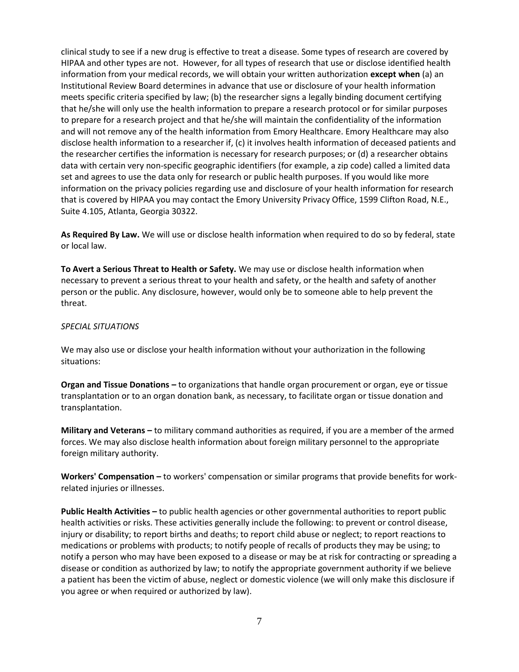clinical study to see if a new drug is effective to treat a disease. Some types of research are covered by HIPAA and other types are not. However, for all types of research that use or disclose identified health information from your medical records, we will obtain your written authorization **except when** (a) an Institutional Review Board determines in advance that use or disclosure of your health information meets specific criteria specified by law; (b) the researcher signs a legally binding document certifying that he/she will only use the health information to prepare a research protocol or for similar purposes to prepare for a research project and that he/she will maintain the confidentiality of the information and will not remove any of the health information from Emory Healthcare. Emory Healthcare may also disclose health information to a researcher if, (c) it involves health information of deceased patients and the researcher certifies the information is necessary for research purposes; or (d) a researcher obtains data with certain very non-specific geographic identifiers (for example, a zip code) called a limited data set and agrees to use the data only for research or public health purposes. If you would like more information on the privacy policies regarding use and disclosure of your health information for research that is covered by HIPAA you may contact the Emory University Privacy Office, 1599 Clifton Road, N.E., Suite 4.105, Atlanta, Georgia 30322.

**As Required By Law.** We will use or disclose health information when required to do so by federal, state or local law.

**To Avert a Serious Threat to Health or Safety.** We may use or disclose health information when necessary to prevent a serious threat to your health and safety, or the health and safety of another person or the public. Any disclosure, however, would only be to someone able to help prevent the threat.

#### *SPECIAL SITUATIONS*

We may also use or disclose your health information without your authorization in the following situations:

**Organ and Tissue Donations –** to organizations that handle organ procurement or organ, eye or tissue transplantation or to an organ donation bank, as necessary, to facilitate organ or tissue donation and transplantation.

**Military and Veterans –** to military command authorities as required, if you are a member of the armed forces. We may also disclose health information about foreign military personnel to the appropriate foreign military authority.

**Workers' Compensation –** to workers' compensation or similar programs that provide benefits for workrelated injuries or illnesses.

**Public Health Activities –** to public health agencies or other governmental authorities to report public health activities or risks. These activities generally include the following: to prevent or control disease, injury or disability; to report births and deaths; to report child abuse or neglect; to report reactions to medications or problems with products; to notify people of recalls of products they may be using; to notify a person who may have been exposed to a disease or may be at risk for contracting or spreading a disease or condition as authorized by law; to notify the appropriate government authority if we believe a patient has been the victim of abuse, neglect or domestic violence (we will only make this disclosure if you agree or when required or authorized by law).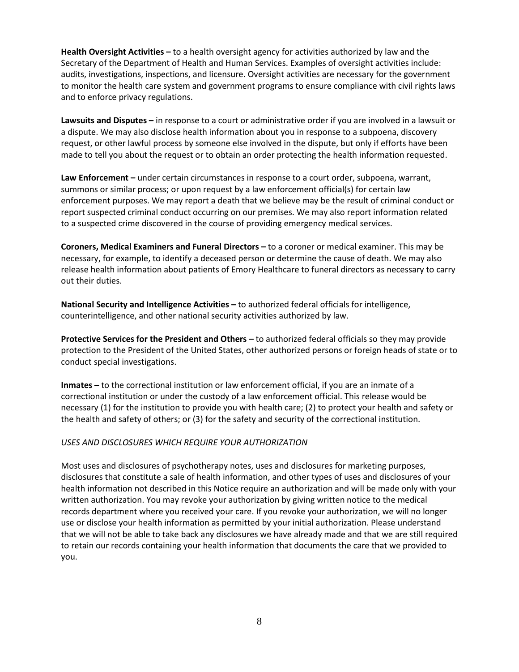**Health Oversight Activities –** to a health oversight agency for activities authorized by law and the Secretary of the Department of Health and Human Services. Examples of oversight activities include: audits, investigations, inspections, and licensure. Oversight activities are necessary for the government to monitor the health care system and government programs to ensure compliance with civil rights laws and to enforce privacy regulations.

**Lawsuits and Disputes –** in response to a court or administrative order if you are involved in a lawsuit or a dispute. We may also disclose health information about you in response to a subpoena, discovery request, or other lawful process by someone else involved in the dispute, but only if efforts have been made to tell you about the request or to obtain an order protecting the health information requested.

**Law Enforcement –** under certain circumstances in response to a court order, subpoena, warrant, summons or similar process; or upon request by a law enforcement official(s) for certain law enforcement purposes. We may report a death that we believe may be the result of criminal conduct or report suspected criminal conduct occurring on our premises. We may also report information related to a suspected crime discovered in the course of providing emergency medical services.

**Coroners, Medical Examiners and Funeral Directors –** to a coroner or medical examiner. This may be necessary, for example, to identify a deceased person or determine the cause of death. We may also release health information about patients of Emory Healthcare to funeral directors as necessary to carry out their duties.

**National Security and Intelligence Activities –** to authorized federal officials for intelligence, counterintelligence, and other national security activities authorized by law.

**Protective Services for the President and Others –** to authorized federal officials so they may provide protection to the President of the United States, other authorized persons or foreign heads of state or to conduct special investigations.

**Inmates –** to the correctional institution or law enforcement official, if you are an inmate of a correctional institution or under the custody of a law enforcement official. This release would be necessary (1) for the institution to provide you with health care; (2) to protect your health and safety or the health and safety of others; or (3) for the safety and security of the correctional institution.

#### *USES AND DISCLOSURES WHICH REQUIRE YOUR AUTHORIZATION*

Most uses and disclosures of psychotherapy notes, uses and disclosures for marketing purposes, disclosures that constitute a sale of health information, and other types of uses and disclosures of your health information not described in this Notice require an authorization and will be made only with your written authorization. You may revoke your authorization by giving written notice to the medical records department where you received your care. If you revoke your authorization, we will no longer use or disclose your health information as permitted by your initial authorization. Please understand that we will not be able to take back any disclosures we have already made and that we are still required to retain our records containing your health information that documents the care that we provided to you.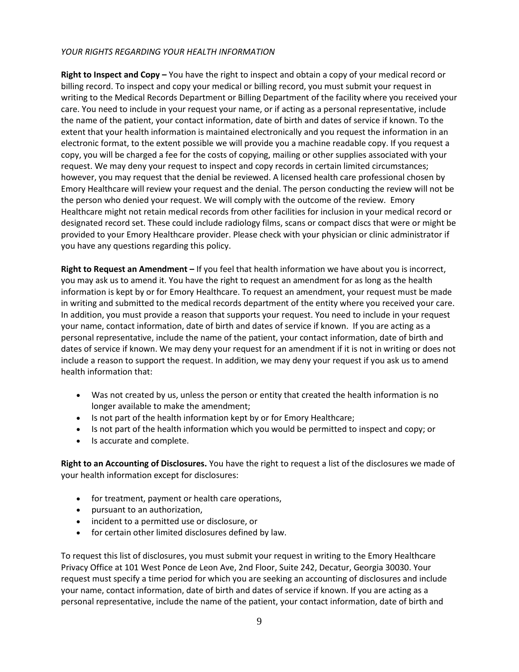### *YOUR RIGHTS REGARDING YOUR HEALTH INFORMATION*

**Right to Inspect and Copy –** You have the right to inspect and obtain a copy of your medical record or billing record. To inspect and copy your medical or billing record, you must submit your request in writing to the Medical Records Department or Billing Department of the facility where you received your care. You need to include in your request your name, or if acting as a personal representative, include the name of the patient, your contact information, date of birth and dates of service if known. To the extent that your health information is maintained electronically and you request the information in an electronic format, to the extent possible we will provide you a machine readable copy. If you request a copy, you will be charged a fee for the costs of copying, mailing or other supplies associated with your request. We may deny your request to inspect and copy records in certain limited circumstances; however, you may request that the denial be reviewed. A licensed health care professional chosen by Emory Healthcare will review your request and the denial. The person conducting the review will not be the person who denied your request. We will comply with the outcome of the review. Emory Healthcare might not retain medical records from other facilities for inclusion in your medical record or designated record set. These could include radiology films, scans or compact discs that were or might be provided to your Emory Healthcare provider. Please check with your physician or clinic administrator if you have any questions regarding this policy.

**Right to Request an Amendment –** If you feel that health information we have about you is incorrect, you may ask us to amend it. You have the right to request an amendment for as long as the health information is kept by or for Emory Healthcare. To request an amendment, your request must be made in writing and submitted to the medical records department of the entity where you received your care. In addition, you must provide a reason that supports your request. You need to include in your request your name, contact information, date of birth and dates of service if known. If you are acting as a personal representative, include the name of the patient, your contact information, date of birth and dates of service if known. We may deny your request for an amendment if it is not in writing or does not include a reason to support the request. In addition, we may deny your request if you ask us to amend health information that:

- Was not created by us, unless the person or entity that created the health information is no longer available to make the amendment;
- Is not part of the health information kept by or for Emory Healthcare;
- Is not part of the health information which you would be permitted to inspect and copy; or
- Is accurate and complete.

**Right to an Accounting of Disclosures.** You have the right to request a list of the disclosures we made of your health information except for disclosures:

- for treatment, payment or health care operations,
- pursuant to an authorization,
- incident to a permitted use or disclosure, or
- for certain other limited disclosures defined by law.

To request this list of disclosures, you must submit your request in writing to the Emory Healthcare Privacy Office at 101 West Ponce de Leon Ave, 2nd Floor, Suite 242, Decatur, Georgia 30030. Your request must specify a time period for which you are seeking an accounting of disclosures and include your name, contact information, date of birth and dates of service if known. If you are acting as a personal representative, include the name of the patient, your contact information, date of birth and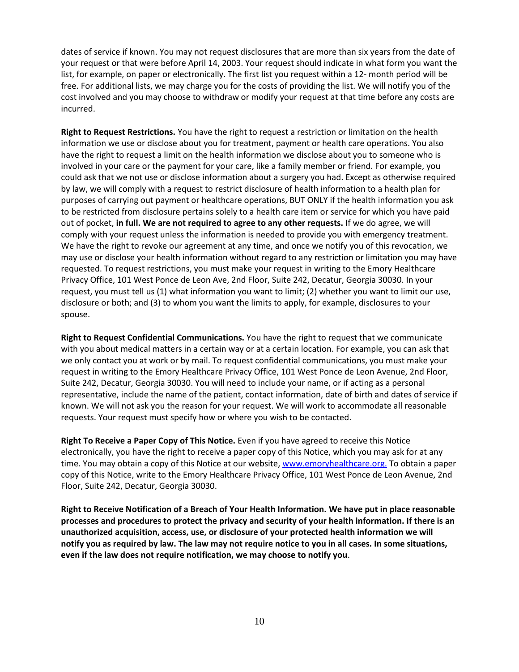dates of service if known. You may not request disclosures that are more than six years from the date of your request or that were before April 14, 2003. Your request should indicate in what form you want the list, for example, on paper or electronically. The first list you request within a 12- month period will be free. For additional lists, we may charge you for the costs of providing the list. We will notify you of the cost involved and you may choose to withdraw or modify your request at that time before any costs are incurred.

**Right to Request Restrictions.** You have the right to request a restriction or limitation on the health information we use or disclose about you for treatment, payment or health care operations. You also have the right to request a limit on the health information we disclose about you to someone who is involved in your care or the payment for your care, like a family member or friend. For example, you could ask that we not use or disclose information about a surgery you had. Except as otherwise required by law, we will comply with a request to restrict disclosure of health information to a health plan for purposes of carrying out payment or healthcare operations, BUT ONLY if the health information you ask to be restricted from disclosure pertains solely to a health care item or service for which you have paid out of pocket, **in full. We are not required to agree to any other requests.** If we do agree, we will comply with your request unless the information is needed to provide you with emergency treatment. We have the right to revoke our agreement at any time, and once we notify you of this revocation, we may use or disclose your health information without regard to any restriction or limitation you may have requested. To request restrictions, you must make your request in writing to the Emory Healthcare Privacy Office, 101 West Ponce de Leon Ave, 2nd Floor, Suite 242, Decatur, Georgia 30030. In your request, you must tell us (1) what information you want to limit; (2) whether you want to limit our use, disclosure or both; and (3) to whom you want the limits to apply, for example, disclosures to your spouse.

**Right to Request Confidential Communications.** You have the right to request that we communicate with you about medical matters in a certain way or at a certain location. For example, you can ask that we only contact you at work or by mail. To request confidential communications, you must make your request in writing to the Emory Healthcare Privacy Office, 101 West Ponce de Leon Avenue, 2nd Floor, Suite 242, Decatur, Georgia 30030. You will need to include your name, or if acting as a personal representative, include the name of the patient, contact information, date of birth and dates of service if known. We will not ask you the reason for your request. We will work to accommodate all reasonable requests. Your request must specify how or where you wish to be contacted.

**Right To Receive a Paper Copy of This Notice.** Even if you have agreed to receive this Notice electronically, you have the right to receive a paper copy of this Notice, which you may ask for at any time. You may obtain a copy of this Notice at our website, [www.emoryhealthcare.org.](http://www.emoryhealthcare.org/) To obtain a paper copy of this Notice, write to the Emory Healthcare Privacy Office, 101 West Ponce de Leon Avenue, 2nd Floor, Suite 242, Decatur, Georgia 30030.

**Right to Receive Notification of a Breach of Your Health Information. We have put in place reasonable processes and procedures to protect the privacy and security of your health information. If there is an unauthorized acquisition, access, use, or disclosure of your protected health information we will notify you as required by law. The law may not require notice to you in all cases. In some situations, even if the law does not require notification, we may choose to notify you**.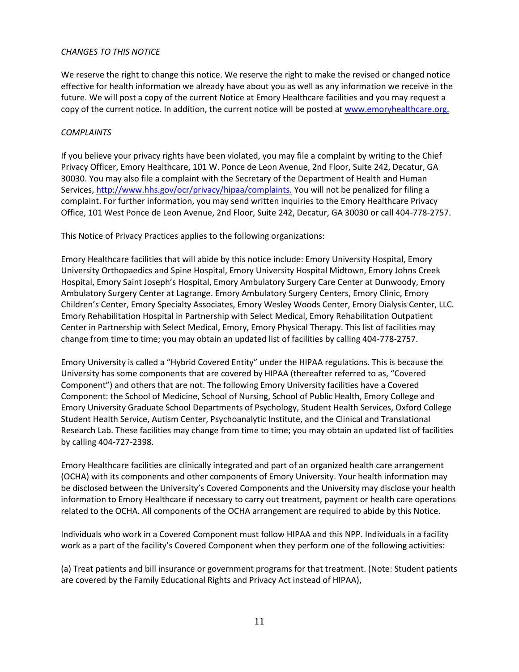### *CHANGES TO THIS NOTICE*

We reserve the right to change this notice. We reserve the right to make the revised or changed notice effective for health information we already have about you as well as any information we receive in the future. We will post a copy of the current Notice at Emory Healthcare facilities and you may request a copy of the current notice. In addition, the current notice will be posted a[t www.emoryhealthcare.org.](http://www.emoryhealthcare.org/)

### *COMPLAINTS*

If you believe your privacy rights have been violated, you may file a complaint by writing to the Chief Privacy Officer, Emory Healthcare, 101 W. Ponce de Leon Avenue, 2nd Floor, Suite 242, Decatur, GA 30030. You may also file a complaint with the Secretary of the Department of Health and Human Services[, http://www.hhs.gov/ocr/privacy/hipaa/complaints.](http://www.hhs.gov/ocr/privacy/hipaa/complaints) You will not be penalized for filing a complaint. For further information, you may send written inquiries to the Emory Healthcare Privacy Office, 101 West Ponce de Leon Avenue, 2nd Floor, Suite 242, Decatur, GA 30030 or call 404-778-2757.

This Notice of Privacy Practices applies to the following organizations:

Emory Healthcare facilities that will abide by this notice include: Emory University Hospital, Emory University Orthopaedics and Spine Hospital, Emory University Hospital Midtown, Emory Johns Creek Hospital, Emory Saint Joseph's Hospital, Emory Ambulatory Surgery Care Center at Dunwoody, Emory Ambulatory Surgery Center at Lagrange. Emory Ambulatory Surgery Centers, Emory Clinic, Emory Children's Center, Emory Specialty Associates, Emory Wesley Woods Center, Emory Dialysis Center, LLC. Emory Rehabilitation Hospital in Partnership with Select Medical, Emory Rehabilitation Outpatient Center in Partnership with Select Medical, Emory, Emory Physical Therapy. This list of facilities may change from time to time; you may obtain an updated list of facilities by calling 404-778-2757.

Emory University is called a "Hybrid Covered Entity" under the HIPAA regulations. This is because the University has some components that are covered by HIPAA (thereafter referred to as, "Covered Component") and others that are not. The following Emory University facilities have a Covered Component: the School of Medicine, School of Nursing, School of Public Health, Emory College and Emory University Graduate School Departments of Psychology, Student Health Services, Oxford College Student Health Service, Autism Center, Psychoanalytic Institute, and the Clinical and Translational Research Lab. These facilities may change from time to time; you may obtain an updated list of facilities by calling 404-727-2398.

Emory Healthcare facilities are clinically integrated and part of an organized health care arrangement (OCHA) with its components and other components of Emory University. Your health information may be disclosed between the University's Covered Components and the University may disclose your health information to Emory Healthcare if necessary to carry out treatment, payment or health care operations related to the OCHA. All components of the OCHA arrangement are required to abide by this Notice.

Individuals who work in a Covered Component must follow HIPAA and this NPP. Individuals in a facility work as a part of the facility's Covered Component when they perform one of the following activities:

(a) Treat patients and bill insurance or government programs for that treatment. (Note: Student patients are covered by the Family Educational Rights and Privacy Act instead of HIPAA),